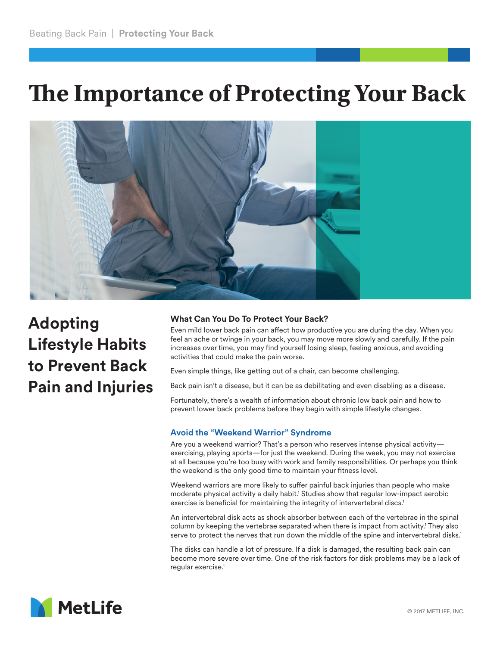# **The Importance of Protecting Your Back**



# **Adopting Lifestyle Habits to Prevent Back Pain and Injuries**

# **What Can You Do To Protect Your Back?**

Even mild lower back pain can affect how productive you are during the day. When you feel an ache or twinge in your back, you may move more slowly and carefully. If the pain increases over time, you may find yourself losing sleep, feeling anxious, and avoiding activities that could make the pain worse.

Even simple things, like getting out of a chair, can become challenging.

Back pain isn't a disease, but it can be as debilitating and even disabling as a disease.

Fortunately, there's a wealth of information about chronic low back pain and how to prevent lower back problems before they begin with simple lifestyle changes.

# **Avoid the "Weekend Warrior" Syndrome**

Are you a weekend warrior? That's a person who reserves intense physical activity exercising, playing sports—for just the weekend. During the week, you may not exercise at all because you're too busy with work and family responsibilities. Or perhaps you think the weekend is the only good time to maintain your fitness level.

Weekend warriors are more likely to suffer painful back injuries than people who make moderate physical activity a daily habit.1 Studies show that regular low-impact aerobic exercise is beneficial for maintaining the integrity of intervertebral discs.<sup>1</sup>

An intervertebral disk acts as shock absorber between each of the vertebrae in the spinal column by keeping the vertebrae separated when there is impact from activity.<sup>1</sup> They also serve to protect the nerves that run down the middle of the spine and intervertebral disks.<sup>1</sup>

The disks can handle a lot of pressure. If a disk is damaged, the resulting back pain can become more severe over time. One of the risk factors for disk problems may be a lack of regular exercise.<sup>1</sup>